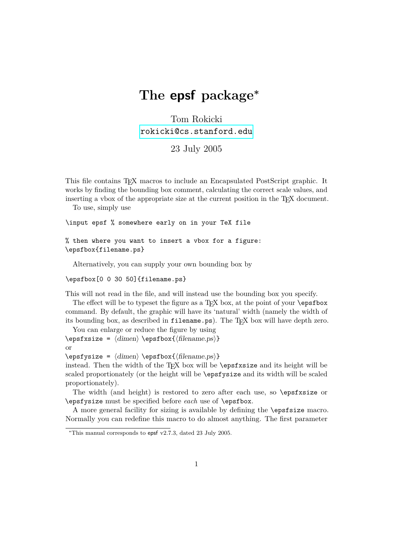## **The epsf package<sup>∗</sup>**

Tom Rokicki [rokicki@cs.stanford.edu](mailto:rokicki@cs.stanford.edu)

23 July 2005

This file contains TEX macros to include an Encapsulated PostScript graphic. It works by finding the bounding box comment, calculating the correct scale values, and inserting a vbox of the appropriate size at the current position in the T<sub>E</sub>X document.

To use, simply use

\input epsf % somewhere early on in your TeX file

% then where you want to insert a vbox for a figure: \epsfbox{filename.ps}

Alternatively, you can supply your own bounding box by

\epsfbox[0 0 30 50]{filename.ps}

This will not read in the file, and will instead use the bounding box you specify.

The effect will be to typeset the figure as a T<sub>E</sub>X box, at the point of your  $\epsilon$ command. By default, the graphic will have its 'natural' width (namely the width of its bounding box, as described in filename.ps). The T<sub>E</sub>X box will have depth zero.

```
You can enlarge or reduce the figure by using
\epsilon = \langle \dim_{\mathbb{R}} \epsilon \rangleor
```
 $\epsilon = \dim_{\epsilon} \begin{pmatrix} {\text{filename}} \\ {\text{filename}} \end{pmatrix}$ 

instead. Then the width of the  $TFX$  box will be  $\epsilon$  and its height will be scaled proportionately (or the height will be \epsfysize and its width will be scaled proportionately).

The width (and height) is restored to zero after each use, so \epsfxsize or \epsfysize must be specified before *each* use of \epsfbox.

A more general facility for sizing is available by defining the \epsfsize macro. Normally you can redefine this macro to do almost anything. The first parameter

<sup>\*</sup>This manual corresponds to epsf v2.7.3, dated 23 July 2005.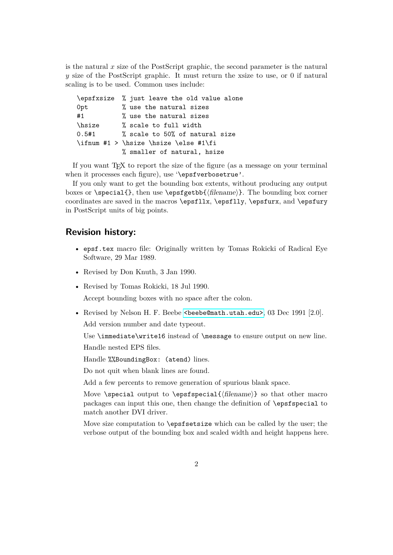is the natural *x* size of the PostScript graphic, the second parameter is the natural *y* size of the PostScript graphic. It must return the xsize to use, or 0 if natural scaling is to be used. Common uses include:

|              | \epsfxsize % just leave the old value alone |
|--------------|---------------------------------------------|
| Opt          | % use the natural sizes                     |
| #1           | % use the natural sizes                     |
| <b>hsize</b> | % scale to full width                       |
| 0.5#1        | % scale to 50% of natural size              |
|              | \ifnum #1 > \hsize \hsize \else #1\fi       |
|              | % smaller of natural, hsize                 |

If you want T<sub>E</sub>X to report the size of the figure (as a message on your terminal when it processes each figure), use '\epsfverbosetrue'.

If you only want to get the bounding box extents, without producing any output boxes or \special{}, then use \epsfgetbb{ $\{filename\}$ }. The bounding box corner coordinates are saved in the macros \epsfllx, \epsflly, \epsfurx, and \epsfury in PostScript units of big points.

## **Revision history:**

- epsf.tex macro file: Originally written by Tomas Rokicki of Radical Eye Software, 29 Mar 1989.
- Revised by Don Knuth, 3 Jan 1990.
- Revised by Tomas Rokicki, 18 Jul 1990.

Accept bounding boxes with no space after the colon.

• Revised by Nelson H. F. Beebe  $\leq \epsilon$  Seebe@math.utah.edu>, 03 Dec 1991 [2.0].

Add version number and date typeout.

Use \immediate\write16 instead of \message to ensure output on new line. Handle nested EPS files.

Handle %%BoundingBox: (atend) lines.

Do not quit when blank lines are found.

Add a few percents to remove generation of spurious blank space.

Move \special output to \epsfspecial{ $\{filename\}$ } so that other macro packages can input this one, then change the definition of \epsfspecial to match another DVI driver.

Move size computation to \epsfsetsize which can be called by the user; the verbose output of the bounding box and scaled width and height happens here.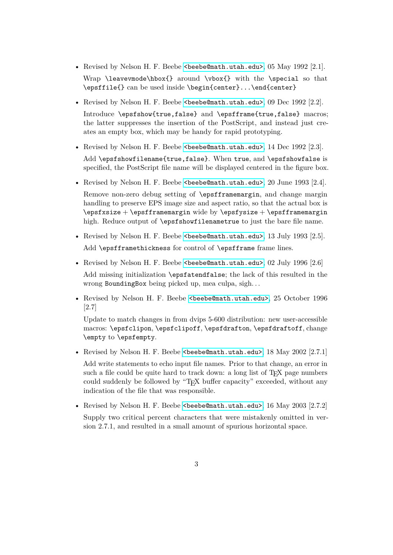- Revised by Nelson H. F. Beebe [<beebe@math.utah.edu>](mailto:beebe@math.utah.edu), 05 May 1992 [2.1]. Wrap \leavevmode\hbox{} around \vbox{} with the \special so that \epsffile{} can be used inside \begin{center}...\end{center}
- Revised by Nelson H. F. Beebe <br/>beebe@math.utah.edu>, 09 Dec 1992 [2.2].

Introduce \epsfshow{true,false} and \epsfframe{true,false} macros; the latter suppresses the insertion of the PostScript, and instead just creates an empty box, which may be handy for rapid prototyping.

• Revised by Nelson H. F. Beebe <br/>beebe@math.utah.edu>, 14 Dec 1992 [2.3].

Add \epsfshowfilename{true,false}. When true, and \epsfshowfalse is specified, the PostScript file name will be displayed centered in the figure box.

- Revised by Nelson H. F. Beebe  $\leq$ beebe@math.utah.edu>, 20 June 1993 [2.4]. Remove non-zero debug setting of \epsfframemargin, and change margin handling to preserve EPS image size and aspect ratio, so that the actual box is  $\epsilon + \epsilon + \epsilon$  wide by  $\epsilon + \epsilon + \epsilon$ high. Reduce output of \epsfshowfilenametrue to just the bare file name.
- Revised by Nelson H. F. Beebe <br/>beebe@math.utah.edu>, 13 July 1993 [2.5]. Add \epsfframethickness for control of \epsfframe frame lines.
- Revised by Nelson H. F. Beebe <br/>beebe@math.utah.edu>, 02 July 1996 [2.6] Add missing initialization \epsfatendfalse; the lack of this resulted in the wrong BoundingBox being picked up, mea culpa, sigh. . .
- Revised by Nelson H. F. Beebe [<beebe@math.utah.edu>](mailto:beebe@math.utah.edu), 25 October 1996 [2.7]

Update to match changes in from dvips 5-600 distribution: new user-accessible macros: \epsfclipon, \epsfclipoff, \epsfdrafton, \epsfdraftoff, change \empty to \epsfempty.

• Revised by Nelson H. F. Beebe <br/>beebe@math.utah.edu>, 18 May 2002 [2.7.1]

Add write statements to echo input file names. Prior to that change, an error in such a file could be quite hard to track down: a long list of TFX page numbers could suddenly be followed by "TEX buffer capacity" exceeded, without any indication of the file that was responsible.

• Revised by Nelson H. F. Beebe <br/>beebe@math.utah.edu>, 16 May 2003 [2.7.2] Supply two critical percent characters that were mistakenly omitted in version 2.7.1, and resulted in a small amount of spurious horizontal space.